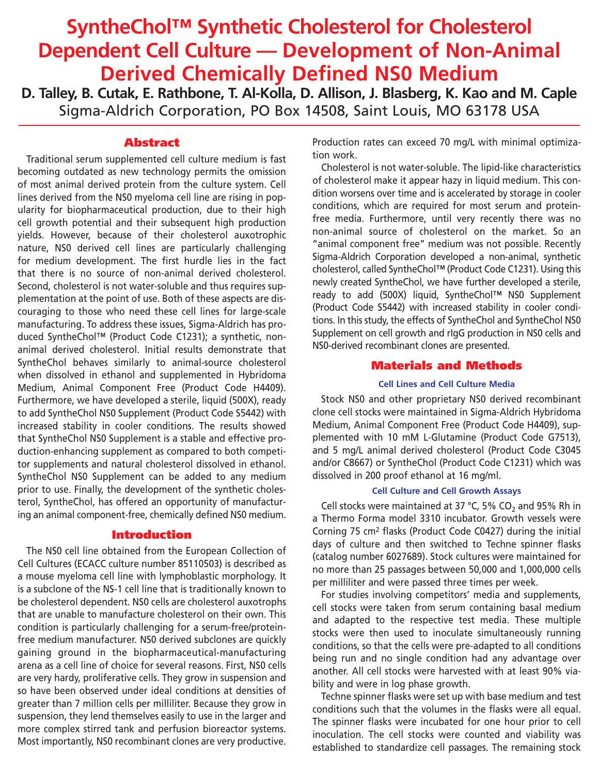# **SyntheChol™ Synthetic Cholesterol for Cholesterol Dependent Cell Culture — Development of Non-Animal Derived Chemically Defined NS0 Medium**

**D. Talley, B. Cutak, E. Rathbone, T. Al-Kolla, D. Allison, J. Blasberg, K. Kao and M. Caple** Sigma-Aldrich Corporation, PO Box 14508, Saint Louis, MO 63178 USA

# **Abstract**

Traditional serum supplemented cell culture medium is fast becoming outdated as new technology permits the omission of most animal derived protein from the culture system. Cell lines derived from the NS0 myeloma cell line are rising in popularity for biopharmaceutical production, due to their high cell growth potential and their subsequent high production yields. However, because of their cholesterol auxotrophic nature, NS0 derived cell lines are particularly challenging for medium development. The first hurdle lies in the fact that there is no source of non-animal derived cholesterol. Second, cholesterol is not water-soluble and thus requires supplementation at the point of use. Both of these aspects are discouraging to those who need these cell lines for large-scale manufacturing. To address these issues, Sigma-Aldrich has produced SyntheChol™ (Product Code C1231); a synthetic, nonanimal derived cholesterol. Initial results demonstrate that SyntheChol behaves similarly to animal-source cholesterol when dissolved in ethanol and supplemented in Hybridoma Medium, Animal Component Free (Product Code H4409). Furthermore, we have developed a sterile, liquid (500X), ready to add SyntheChol NS0 Supplement (Product Code S5442) with increased stability in cooler conditions. The results showed that SyntheChol NS0 Supplement is a stable and effective production-enhancing supplement as compared to both competitor supplements and natural cholesterol dissolved in ethanol. SyntheChol NS0 Supplement can be added to any medium prior to use. Finally, the development of the synthetic cholesterol, SyntheChol, has offered an opportunity of manufacturing an animal component-free, chemically defined NS0 medium.

## **Introduction**

The NS0 cell line obtained from the European Collection of Cell Cultures (ECACC culture number 85110503) is described as a mouse myeloma cell line with lymphoblastic morphology. It is a subclone of the NS-1 cell line that is traditionally known to be cholesterol dependent. NS0 cells are cholesterol auxotrophs that are unable to manufacture cholesterol on their own. This condition is particularly challenging for a serum-free/proteinfree medium manufacturer. NS0 derived subclones are quickly gaining ground in the biopharmaceutical-manufacturing arena as a cell line of choice for several reasons. First, NS0 cells are very hardy, proliferative cells. They grow in suspension and so have been observed under ideal conditions at densities of greater than 7 million cells per milliliter. Because they grow in suspension, they lend themselves easily to use in the larger and more complex stirred tank and perfusion bioreactor systems. Most importantly, NS0 recombinant clones are very productive. Production rates can exceed 70 mg/L with minimal optimization work.

Cholesterol is not water-soluble. The lipid-like characteristics of cholesterol make it appear hazy in liquid medium. This condition worsens over time and is accelerated by storage in cooler conditions, which are required for most serum and proteinfree media. Furthermore, until very recently there was no non-animal source of cholesterol on the market. So an "animal component free" medium was not possible. Recently Sigma-Aldrich Corporation developed a non-animal, synthetic cholesterol, called SyntheChol™ (Product Code C1231). Using this newly created SyntheChol, we have further developed a sterile, ready to add (500X) liquid, SyntheChol™ NS0 Supplement (Product Code S5442) with increased stability in cooler conditions. In this study, the effects of SyntheChol and SyntheChol NS0 Supplement on cell growth and rIgG production in NS0 cells and NS0-derived recombinant clones are presented.

# **Materials and Methods**

## **Cell Lines and Cell Culture Media**

Stock NS0 and other proprietary NS0 derived recombinant clone cell stocks were maintained in Sigma-Aldrich Hybridoma Medium, Animal Component Free (Product Code H4409), supplemented with 10 mM L-Glutamine (Product Code G7513), and 5 mg/L animal derived cholesterol (Product Code C3045 and/or C8667) or SyntheChol (Product Code C1231) which was dissolved in 200 proof ethanol at 16 mg/ml.

## **Cell Culture and Cell Growth Assays**

Cell stocks were maintained at 37 °C, 5% CO<sub>2</sub> and 95% Rh in a Thermo Forma model 3310 incubator. Growth vessels were Corning 75 cm2 flasks (Product Code C0427) during the initial days of culture and then switched to Techne spinner flasks (catalog number 6027689). Stock cultures were maintained for no more than 25 passages between 50,000 and 1,000,000 cells per milliliter and were passed three times per week.

For studies involving competitors' media and supplements, cell stocks were taken from serum containing basal medium and adapted to the respective test media. These multiple stocks were then used to inoculate simultaneously running conditions, so that the cells were pre-adapted to all conditions being run and no single condition had any advantage over another. All cell stocks were harvested with at least 90% viability and were in log phase growth.

Techne spinner flasks were set up with base medium and test conditions such that the volumes in the flasks were all equal. The spinner flasks were incubated for one hour prior to cell inoculation. The cell stocks were counted and viability was established to standardize cell passages. The remaining stock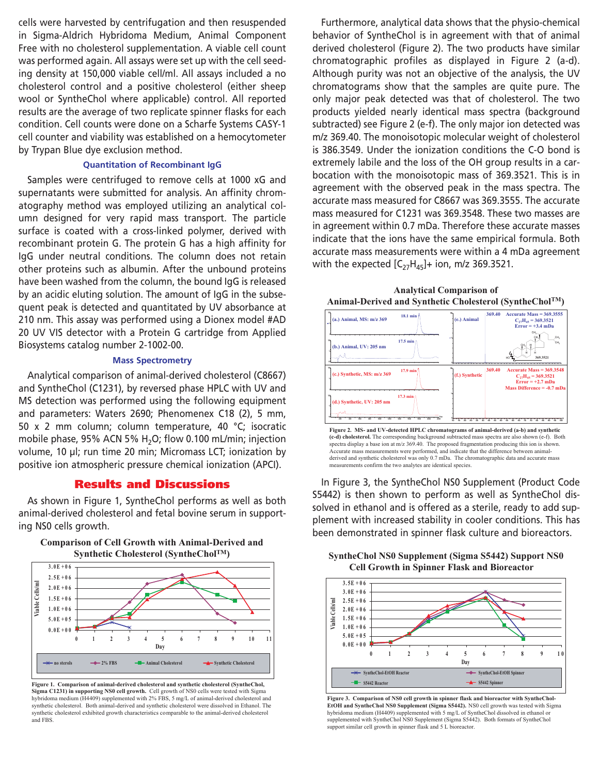cells were harvested by centrifugation and then resuspended in Sigma-Aldrich Hybridoma Medium, Animal Component Free with no cholesterol supplementation. A viable cell count was performed again. All assays were set up with the cell seeding density at 150,000 viable cell/ml. All assays included a no cholesterol control and a positive cholesterol (either sheep wool or SyntheChol where applicable) control. All reported results are the average of two replicate spinner flasks for each condition. Cell counts were done on a Scharfe Systems CASY-1 cell counter and viability was established on a hemocytometer by Trypan Blue dye exclusion method.

#### **Quantitation of Recombinant IgG**

Samples were centrifuged to remove cells at 1000 xG and supernatants were submitted for analysis. An affinity chromatography method was employed utilizing an analytical column designed for very rapid mass transport. The particle surface is coated with a cross-linked polymer, derived with recombinant protein G. The protein G has a high affinity for IgG under neutral conditions. The column does not retain other proteins such as albumin. After the unbound proteins have been washed from the column, the bound IgG is released by an acidic eluting solution. The amount of IgG in the subsequent peak is detected and quantitated by UV absorbance at 210 nm. This assay was performed using a Dionex model #AD 20 UV VIS detector with a Protein G cartridge from Applied Biosystems catalog number 2-1002-00.

#### **Mass Spectrometry**

Analytical comparison of animal-derived cholesterol (C8667) and SyntheChol (C1231), by reversed phase HPLC with UV and MS detection was performed using the following equipment and parameters: Waters 2690; Phenomenex C18 (2), 5 mm, 50 x 2 mm column; column temperature, 40 °C; isocratic mobile phase, 95% ACN 5%  $H<sub>2</sub>O$ ; flow 0.100 mL/min; injection volume, 10 µl; run time 20 min; Micromass LCT; ionization by positive ion atmospheric pressure chemical ionization (APCI).

## **Results and Discussions**

As shown in Figure 1, SyntheChol performs as well as both animal-derived cholesterol and fetal bovine serum in supporting NS0 cells growth.



**Comparison of Cell Growth with Animal-Derived and Synthetic Cholesterol (SyntheCholTM)**

**Figure 1. Comparison of animal-derived cholesterol and synthetic cholesterol (SyntheChol, Sigma C1231) in supporting NS0 cell growth.** Cell growth of NS0 cells were tested with Sigma hybridoma medium (H4409) supplemented with 2% FBS, 5 mg/L of animal-derived cholesterol and synthetic cholesterol. Both animal-derived and synthetic cholesterol were dissolved in Ethanol. The synthetic cholesterol exhibited growth characteristics comparable to the animal-derived cholesterol and FBS.

Furthermore, analytical data shows that the physio-chemical behavior of SyntheChol is in agreement with that of animal derived cholesterol (Figure 2). The two products have similar chromatographic profiles as displayed in Figure 2 (a-d). Although purity was not an objective of the analysis, the UV chromatograms show that the samples are quite pure. The only major peak detected was that of cholesterol. The two products yielded nearly identical mass spectra (background subtracted) see Figure 2 (e-f). The only major ion detected was m/z 369.40. The monoisotopic molecular weight of cholesterol is 386.3549. Under the ionization conditions the C-O bond is extremely labile and the loss of the OH group results in a carbocation with the monoisotopic mass of 369.3521. This is in agreement with the observed peak in the mass spectra. The accurate mass measured for C8667 was 369.3555. The accurate mass measured for C1231 was 369.3548. These two masses are in agreement within 0.7 mDa. Therefore these accurate masses indicate that the ions have the same empirical formula. Both accurate mass measurements were within a 4 mDa agreement with the expected  $[C_{27}H_{45}]+$  ion, m/z 369.3521.





**(c-d) cholesterol.** The corresponding background subtracted mass spectra are also shown (e-f). Both spectra display a base ion at m/z 369.40. The proposed fragmentation producing this ion is shown. Accurate mass measurements were performed, and indicate that the difference between animalderived and synthetic cholesterol was only 0.7 mDa. The chromatographic data and accurate mass measurements confirm the two analytes are identical species.

In Figure 3, the SyntheChol NS0 Supplement (Product Code S5442) is then shown to perform as well as SyntheChol dissolved in ethanol and is offered as a sterile, ready to add supplement with increased stability in cooler conditions. This has been demonstrated in spinner flask culture and bioreactors.

**SyntheChol NS0 Supplement (Sigma S5442) Support NS0 Cell Growth in Spinner Flask and Bioreactor**



**Figure 3. Comparison of NS0 cell growth in spinner flask and bioreactor with SyntheChol-EtOH and SyntheChol NS0 Supplement (Sigma S5442).** NS0 cell growth was tested with Sigma hybridoma medium (H4409) supplemented with 5 mg/L of SyntheChol dissolved in ethanol or supplemented with SyntheChol NS0 Supplement (Sigma S5442). Both formats of SyntheChol support similar cell growth in spinner flask and 5 L bioreactor.